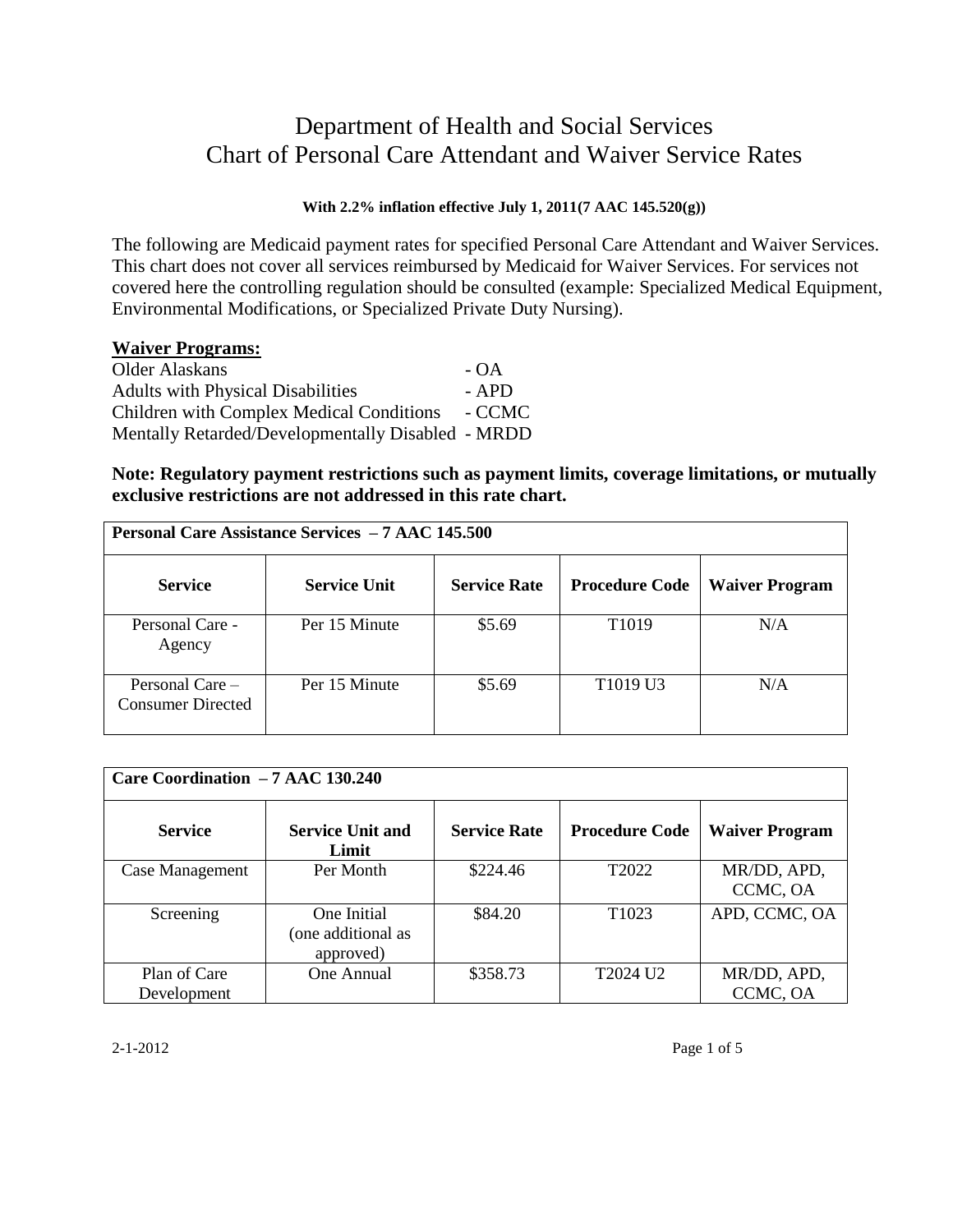# Department of Health and Social Services Chart of Personal Care Attendant and Waiver Service Rates

## **With 2.2% inflation effective July 1, 2011(7 AAC 145.520(g))**

The following are Medicaid payment rates for specified Personal Care Attendant and Waiver Services. This chart does not cover all services reimbursed by Medicaid for Waiver Services. For services not covered here the controlling regulation should be consulted (example: Specialized Medical Equipment, Environmental Modifications, or Specialized Private Duty Nursing).

### **Waiver Programs:**

Older Alaskans - OA Adults with Physical Disabilities - APD Children with Complex Medical Conditions - CCMC Mentally Retarded/Developmentally Disabled - MRDD

**Note: Regulatory payment restrictions such as payment limits, coverage limitations, or mutually exclusive restrictions are not addressed in this rate chart.** 

|                                      | <b>Personal Care Assistance Services - 7 AAC 145.500</b> |                     |                                  |                       |  |
|--------------------------------------|----------------------------------------------------------|---------------------|----------------------------------|-----------------------|--|
| <b>Service</b>                       | <b>Service Unit</b>                                      | <b>Service Rate</b> | <b>Procedure Code</b>            | <b>Waiver Program</b> |  |
| Personal Care -<br>Agency            | Per 15 Minute                                            | \$5.69              | T <sub>1019</sub>                | N/A                   |  |
| Personal Care –<br>Consumer Directed | Per 15 Minute                                            | \$5.69              | T <sub>1019</sub> U <sub>3</sub> | N/A                   |  |

| Care Coordination - 7 AAC 130.240 |                                                |                     |                       |                         |
|-----------------------------------|------------------------------------------------|---------------------|-----------------------|-------------------------|
| <b>Service</b>                    | <b>Service Unit and</b><br>Limit               | <b>Service Rate</b> | <b>Procedure Code</b> | <b>Waiver Program</b>   |
| Case Management                   | Per Month                                      | \$224.46            | T <sub>2022</sub>     | MR/DD, APD,<br>CCMC, OA |
| Screening                         | One Initial<br>(one additional as<br>approved) | \$84.20             | T <sub>1023</sub>     | APD, CCMC, OA           |
| Plan of Care<br>Development       | One Annual                                     | \$358.73            | T2024 U2              | MR/DD, APD,<br>CCMC, OA |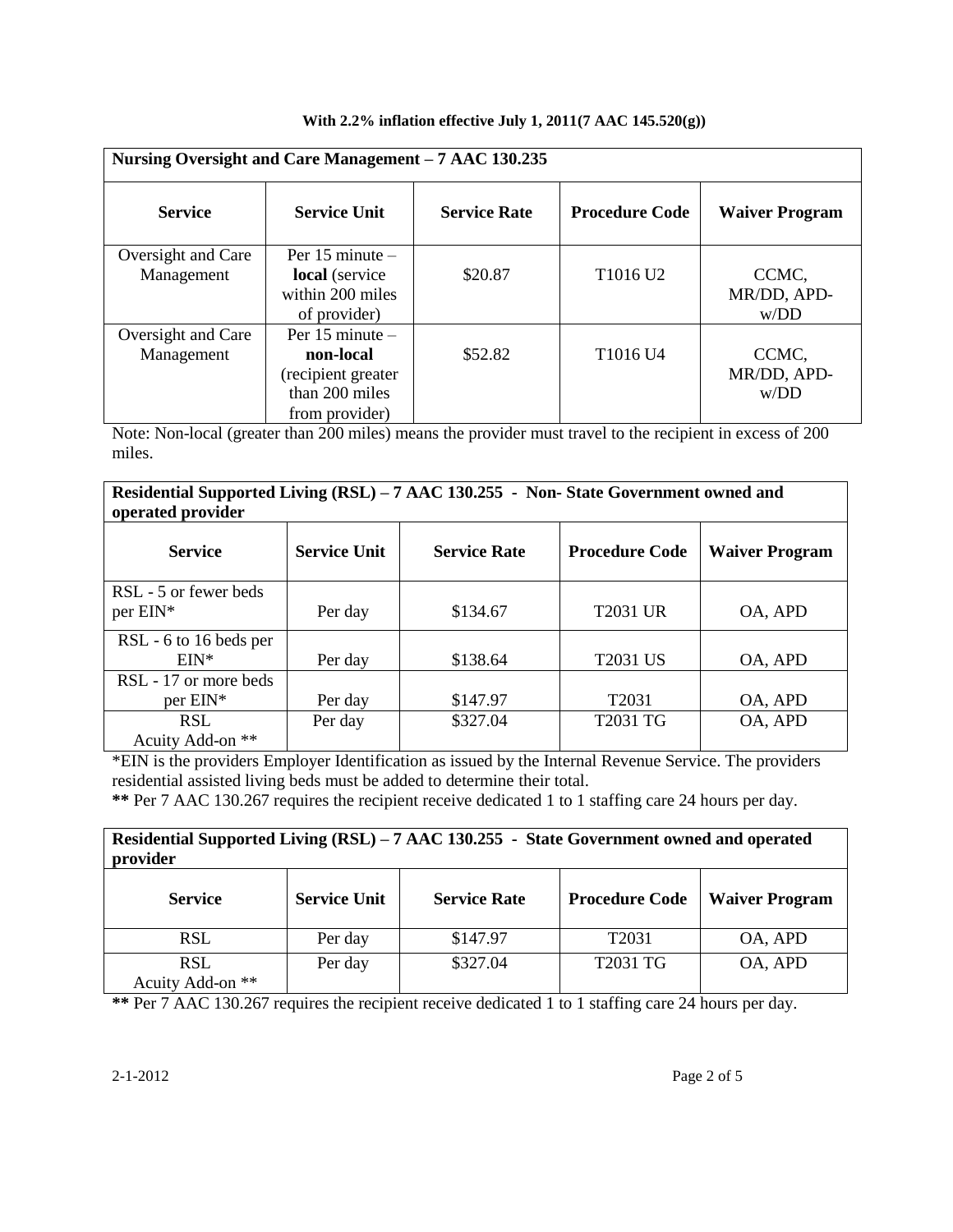|  |  |  |  |  |  | With 2.2% inflation effective July 1, 2011(7 AAC $145.520(g)$ ) |
|--|--|--|--|--|--|-----------------------------------------------------------------|
|--|--|--|--|--|--|-----------------------------------------------------------------|

|                                  | Nursing Oversight and Care Management - 7 AAC 130.235                                      |                     |                                  |                              |
|----------------------------------|--------------------------------------------------------------------------------------------|---------------------|----------------------------------|------------------------------|
| <b>Service</b>                   | <b>Service Unit</b>                                                                        | <b>Service Rate</b> | <b>Procedure Code</b>            | <b>Waiver Program</b>        |
| Oversight and Care<br>Management | Per $15$ minute $-$<br>local (service<br>within 200 miles<br>of provider)                  | \$20.87             | T <sub>1016</sub> U <sub>2</sub> | CCMC,<br>MR/DD, APD-<br>W/DD |
| Oversight and Care<br>Management | Per $15$ minute $-$<br>non-local<br>(recipient greater<br>than 200 miles<br>from provider) | \$52.82             | T <sub>1016</sub> U <sub>4</sub> | CCMC,<br>MR/DD, APD-<br>W/DD |

Note: Non-local (greater than 200 miles) means the provider must travel to the recipient in excess of 200 miles.

#### **Residential Supported Living (RSL) – 7 AAC 130.255 - Non- State Government owned and operated provider**

| $     -$               |                     |                     |                       |                       |
|------------------------|---------------------|---------------------|-----------------------|-----------------------|
| <b>Service</b>         | <b>Service Unit</b> | <b>Service Rate</b> | <b>Procedure Code</b> | <b>Waiver Program</b> |
| RSL - 5 or fewer beds  |                     |                     |                       |                       |
| $per$ EIN*             | Per day             | \$134.67            | <b>T2031 UR</b>       | OA, APD               |
| RSL - 6 to 16 beds per |                     |                     |                       |                       |
| $EIN^*$                | Per day             | \$138.64            | <b>T2031 US</b>       | OA, APD               |
| RSL - 17 or more beds  |                     |                     |                       |                       |
| $per$ EIN*             | Per day             | \$147.97            | T <sub>2031</sub>     | OA, APD               |
| <b>RSL</b>             | Per day             | \$327.04            | T2031 TG              | OA, APD               |
| Acuity Add-on **       |                     |                     |                       |                       |

\*EIN is the providers Employer Identification as issued by the Internal Revenue Service. The providers residential assisted living beds must be added to determine their total.

**\*\*** Per 7 AAC 130.267 requires the recipient receive dedicated 1 to 1 staffing care 24 hours per day.

| Residential Supported Living (RSL) – 7 AAC 130.255 - State Government owned and operated<br>provider |                     |                     |                       |                       |
|------------------------------------------------------------------------------------------------------|---------------------|---------------------|-----------------------|-----------------------|
| <b>Service</b>                                                                                       | <b>Service Unit</b> | <b>Service Rate</b> | <b>Procedure Code</b> | <b>Waiver Program</b> |
| <b>RSL</b>                                                                                           | Per day             | \$147.97            | T <sub>2031</sub>     | OA, APD               |
| <b>RSL</b><br>Acuity Add-on **                                                                       | Per day             | \$327.04            | T2031 TG              | OA, APD               |

**\*\*** Per 7 AAC 130.267 requires the recipient receive dedicated 1 to 1 staffing care 24 hours per day.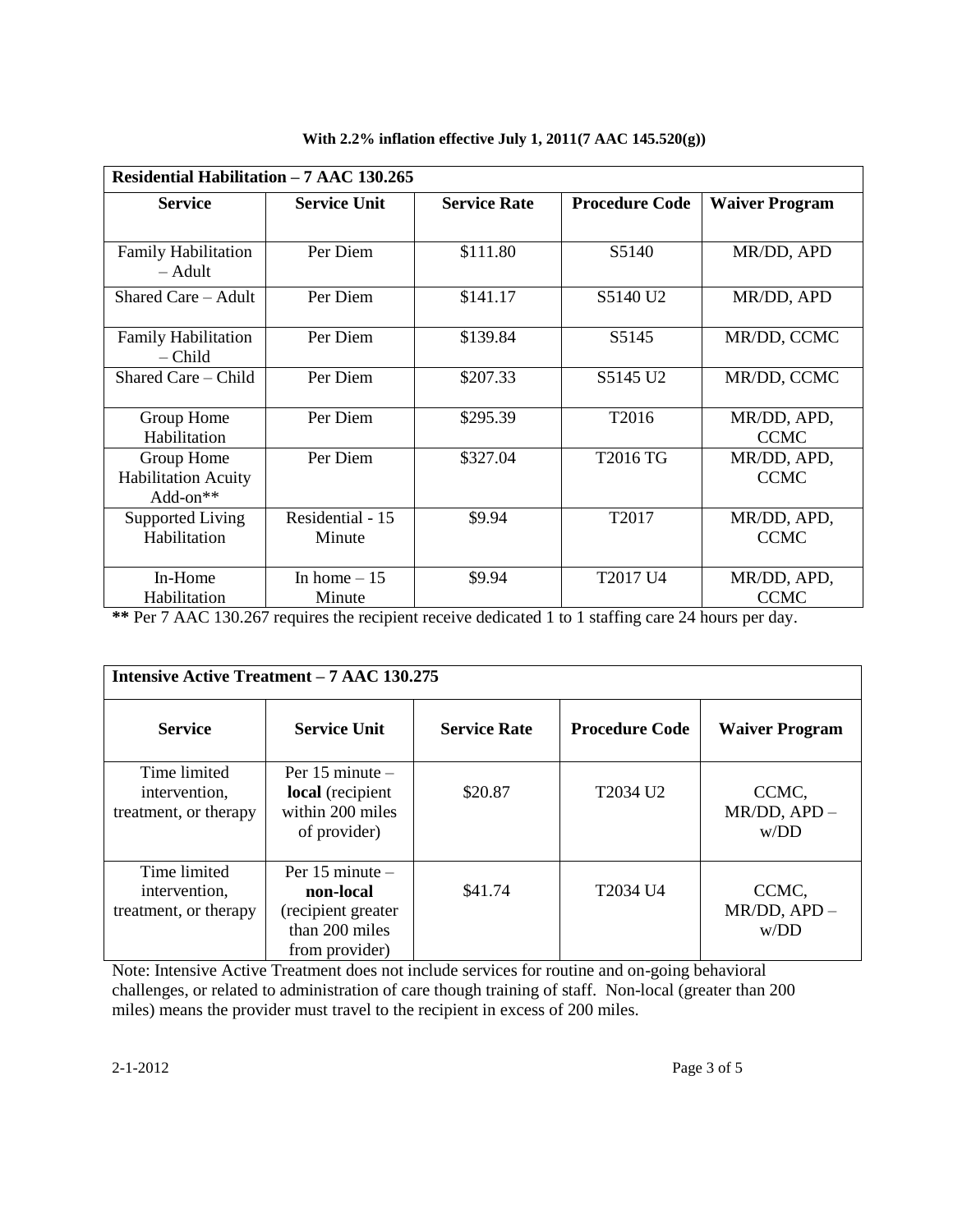| Residential Habilitation - 7 AAC 130.265             |                            |                     |                       |                            |
|------------------------------------------------------|----------------------------|---------------------|-----------------------|----------------------------|
| <b>Service</b>                                       | <b>Service Unit</b>        | <b>Service Rate</b> | <b>Procedure Code</b> | <b>Waiver Program</b>      |
|                                                      |                            |                     |                       |                            |
| <b>Family Habilitation</b><br>– Adult                | Per Diem                   | \$111.80            | S5140                 | MR/DD, APD                 |
| Shared Care - Adult                                  | Per Diem                   | \$141.17            | S5140 U <sub>2</sub>  | MR/DD, APD                 |
| <b>Family Habilitation</b><br>– Child                | Per Diem                   | \$139.84            | S5145                 | MR/DD, CCMC                |
| Shared Care – Child                                  | Per Diem                   | \$207.33            | S5145 U2              | MR/DD, CCMC                |
| Group Home<br>Habilitation                           | Per Diem                   | \$295.39            | T <sub>2016</sub>     | MR/DD, APD,<br><b>CCMC</b> |
| Group Home<br><b>Habilitation Acuity</b><br>Add-on** | Per Diem                   | \$327.04            | T2016 TG              | MR/DD, APD,<br><b>CCMC</b> |
| Supported Living<br>Habilitation                     | Residential - 15<br>Minute | \$9.94              | T2017                 | MR/DD, APD,<br><b>CCMC</b> |
| In-Home<br>Habilitation                              | In home $-15$<br>Minute    | \$9.94              | T2017 U4              | MR/DD, APD,<br><b>CCMC</b> |

**With 2.2% inflation effective July 1, 2011(7 AAC 145.520(g))**

**\*\*** Per 7 AAC 130.267 requires the recipient receive dedicated 1 to 1 staffing care 24 hours per day.

|                                                        | <b>Intensive Active Treatment – 7 AAC 130.275</b>                                          |                     |                       |                                 |
|--------------------------------------------------------|--------------------------------------------------------------------------------------------|---------------------|-----------------------|---------------------------------|
| <b>Service</b>                                         | <b>Service Unit</b>                                                                        | <b>Service Rate</b> | <b>Procedure Code</b> | <b>Waiver Program</b>           |
| Time limited<br>intervention,<br>treatment, or therapy | Per $15$ minute $-$<br>local (recipient<br>within 200 miles<br>of provider)                | \$20.87             | T2034 U <sub>2</sub>  | CCMC,<br>$MR/DD, APD -$<br>W/DD |
| Time limited<br>intervention,<br>treatment, or therapy | Per $15$ minute $-$<br>non-local<br>(recipient greater<br>than 200 miles<br>from provider) | \$41.74             | T2034 U4              | CCMC,<br>$MR/DD, APD -$<br>W/DD |

Note: Intensive Active Treatment does not include services for routine and on-going behavioral challenges, or related to administration of care though training of staff. Non-local (greater than 200 miles) means the provider must travel to the recipient in excess of 200 miles.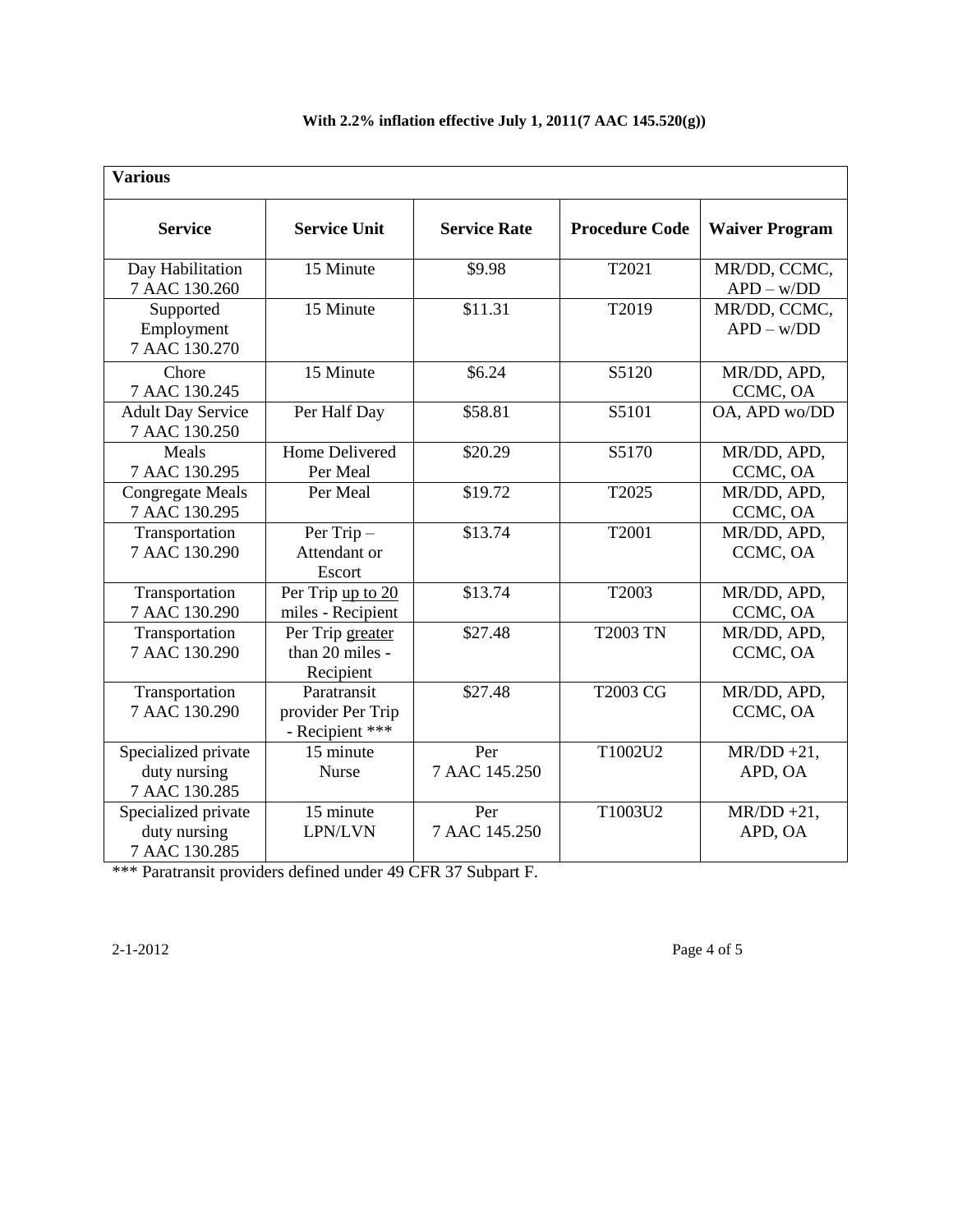| <b>Various</b>                                       |                                                     |                      |                       |                                      |
|------------------------------------------------------|-----------------------------------------------------|----------------------|-----------------------|--------------------------------------|
| <b>Service</b>                                       | <b>Service Unit</b>                                 | <b>Service Rate</b>  | <b>Procedure Code</b> | <b>Waiver Program</b>                |
| Day Habilitation<br>7 AAC 130.260                    | 15 Minute                                           | \$9.98               | T2021                 | MR/DD, CCMC,<br>$APD - w/DD$         |
| Supported<br>Employment<br>7 AAC 130.270             | 15 Minute                                           | \$11.31              | T2019                 | MR/DD, CCMC,<br>$APD - w/DD$         |
| Chore<br>7 AAC 130.245                               | 15 Minute                                           | \$6.24               | S5120                 | MR/DD, APD,<br>CCMC, OA              |
| <b>Adult Day Service</b><br>7 AAC 130.250            | Per Half Day                                        | \$58.81              | S5101                 | OA, APD wo/DD                        |
| Meals<br>7 AAC 130.295                               | Home Delivered<br>Per Meal                          | \$20.29              | S5170                 | MR/DD, APD,<br>CCMC, OA              |
| <b>Congregate Meals</b><br>7 AAC 130.295             | Per Meal                                            | \$19.72              | T2025                 | MR/DD, APD,<br>CCMC, OA              |
| Transportation<br>7 AAC 130.290                      | Per Trip-<br>Attendant or<br>Escort                 | \$13.74              | T2001                 | MR/DD, APD,<br>CCMC, OA              |
| Transportation<br>7 AAC 130.290                      | Per Trip up to 20<br>miles - Recipient              | \$13.74              | T2003                 | MR/DD, APD,<br>CCMC, OA              |
| Transportation<br>7 AAC 130.290                      | Per Trip greater<br>than 20 miles -<br>Recipient    | \$27.48              | <b>T2003 TN</b>       | MR/DD, APD,<br>CCMC, OA              |
| Transportation<br>7 AAC 130.290                      | Paratransit<br>provider Per Trip<br>- Recipient *** | \$27.48              | <b>T2003 CG</b>       | MR/DD, APD,<br>CCMC, OA              |
| Specialized private<br>duty nursing<br>7 AAC 130.285 | 15 minute<br><b>Nurse</b>                           | Per<br>7 AAC 145.250 | T1002U2               | $MR/DD + 2\overline{1}$ ,<br>APD, OA |
| Specialized private<br>duty nursing<br>7 AAC 130.285 | 15 minute<br>LPN/LVN                                | Per<br>7 AAC 145.250 | T1003U2               | $MR/DD + 21$ ,<br>APD, OA            |

### **With 2.2% inflation effective July 1, 2011(7 AAC 145.520(g))**

\*\*\* Paratransit providers defined under 49 CFR 37 Subpart F.

2-1-2012 Page 4 of 5